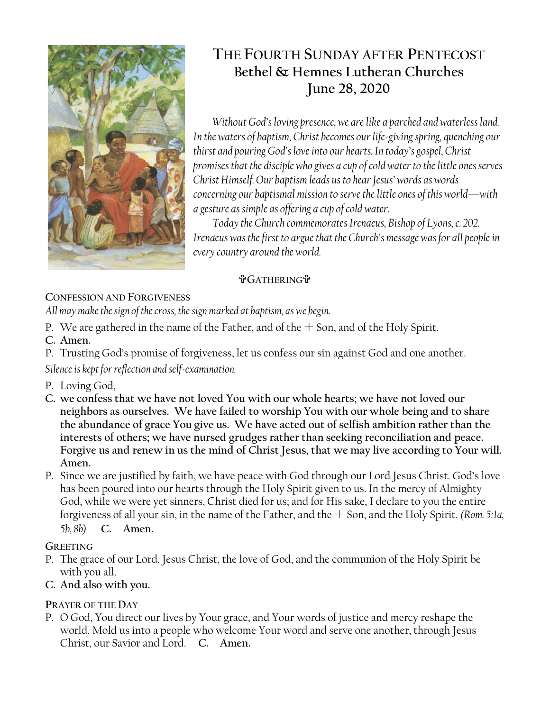

# **THE FOURTH SUNDAY AFTER PENTECOST Bethel & Hemnes Lutheran Churches June 28, 2020**

*Without God's loving presence, we are like a parched and waterless land. In the waters of baptism, Christ becomes our life-giving spring, quenching our thirst and pouring God's love into our hearts. In today's gospel, Christ promises that the disciple who gives a cup of cold water to the little ones serves Christ Himself. Our baptism leads us to hear Jesus' words as words concerning our baptismal mission to serve the little ones of this world—with a gesture as simple as offering a cup of cold water.*

*Today the Church commemorates Irenaeus, Bishop of Lyons, c. 202. Irenaeus was the first to argue that the Church's message was for all people in every country around the world.*

# **GATHERING**

# **CONFESSION AND FORGIVENESS**

*All may make the sign of the cross, the sign marked at baptism, as we begin.*

- P. We are gathered in the name of the Father, and of the  $+$  Son, and of the Holy Spirit.
- **C. Amen.**
- P. Trusting God's promise of forgiveness, let us confess our sin against God and one another.

*Silence is kept for reflection and self-examination.*

- P. Loving God,
- **C. we confess that we have not loved You with our whole hearts; we have not loved our neighbors as ourselves. We have failed to worship You with our whole being and to share the abundance of grace You give us. We have acted out of selfish ambition rather than the interests of others; we have nursed grudges rather than seeking reconciliation and peace. Forgive us and renew in us the mind of Christ Jesus, that we may live according to Your will. Amen.**
- P. Since we are justified by faith, we have peace with God through our Lord Jesus Christ. God's love has been poured into our hearts through the Holy Spirit given to us. In the mercy of Almighty God, while we were yet sinners, Christ died for us; and for His sake, I declare to you the entire forgiveness of all your sin, in the name of the Father, and the  $+$  Son, and the Holy Spirit. *(Rom. 5:1a, 5b, 8b)* **C. Amen.**

# **GREETING**

- P. The grace of our Lord, Jesus Christ, the love of God, and the communion of the Holy Spirit be with you all.
- **C. And also with you.**

# **PRAYER OF THE DAY**

P. O God, You direct our lives by Your grace, and Your words of justice and mercy reshape the world. Mold us into a people who welcome Your word and serve one another, through Jesus Christ, our Savior and Lord. **C. Amen.**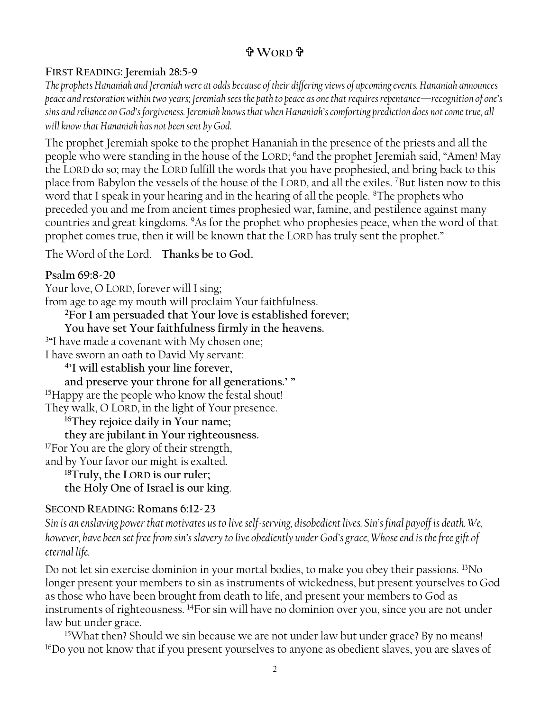# **WORD**

### **FIRST READING: Jeremiah 28:5-9**

*The prophets Hananiah and Jeremiah were at odds because of their differing views of upcoming events. Hananiah announces peace and restoration within two years; Jeremiah sees the path to peace as one that requires repentance—recognition of one's sins and reliance on God's forgiveness. Jeremiah knows that when Hananiah's comforting prediction does not come true, all will know that Hananiah has not been sent by God.*

The prophet Jeremiah spoke to the prophet Hananiah in the presence of the priests and all the people who were standing in the house of the LORD; <sup>6</sup>and the prophet Jeremiah said, "Amen! May the LORD do so; may the LORD fulfill the words that you have prophesied, and bring back to this place from Babylon the vessels of the house of the LORD, and all the exiles. <sup>7</sup>But listen now to this word that I speak in your hearing and in the hearing of all the people. <sup>8</sup>The prophets who preceded you and me from ancient times prophesied war, famine, and pestilence against many countries and great kingdoms. <sup>9</sup>As for the prophet who prophesies peace, when the word of that prophet comes true, then it will be known that the LORD has truly sent the prophet."

The Word of the Lord. **Thanks be to God.**

### **Psalm 69:8-20**

Your love, O LORD, forever will I sing; from age to age my mouth will proclaim Your faithfulness. **<sup>2</sup>For I am persuaded that Your love is established forever; You have set Your faithfulness firmly in the heavens.** <sup>3</sup>"I have made a covenant with My chosen one; I have sworn an oath to David My servant: **4 'I will establish your line forever, and preserve your throne for all generations.' "**  <sup>15</sup>Happy are the people who know the festal shout! They walk, O LORD, in the light of Your presence. **<sup>16</sup>They rejoice daily in Your name; they are jubilant in Your righteousness.** <sup>17</sup>For You are the glory of their strength, and by Your favor our might is exalted. **<sup>18</sup>Truly, the LORD is our ruler; the Holy One of Israel is our king**.

#### **SECOND READING: Romans 6:12-23**

*Sin is an enslaving power that motivates us to live self-serving, disobedient lives. Sin's final payoff is death. We, however, have been set free from sin's slavery to live obediently under God's grace, Whose end is the free gift of eternal life.*

Do not let sin exercise dominion in your mortal bodies, to make you obey their passions. <sup>13</sup>No longer present your members to sin as instruments of wickedness, but present yourselves to God as those who have been brought from death to life, and present your members to God as instruments of righteousness. <sup>14</sup>For sin will have no dominion over you, since you are not under law but under grace.

<sup>15</sup>What then? Should we sin because we are not under law but under grace? By no means! <sup>16</sup>Do you not know that if you present yourselves to anyone as obedient slaves, you are slaves of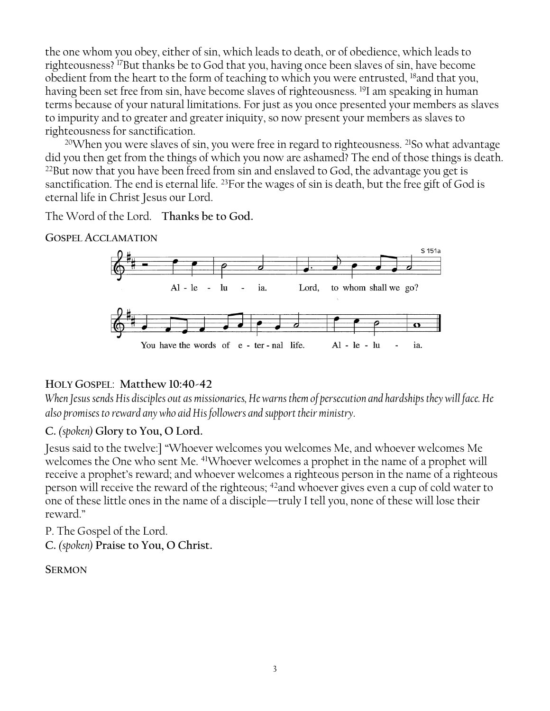the one whom you obey, either of sin, which leads to death, or of obedience, which leads to righteousness? <sup>17</sup>But thanks be to God that you, having once been slaves of sin, have become obedient from the heart to the form of teaching to which you were entrusted, <sup>18</sup>and that you, having been set free from sin, have become slaves of righteousness. <sup>19</sup>I am speaking in human terms because of your natural limitations. For just as you once presented your members as slaves to impurity and to greater and greater iniquity, so now present your members as slaves to righteousness for sanctification.

<sup>20</sup>When you were slaves of sin, you were free in regard to righteousness. <sup>21</sup>So what advantage did you then get from the things of which you now are ashamed? The end of those things is death. <sup>22</sup>But now that you have been freed from sin and enslaved to God, the advantage you get is sanctification. The end is eternal life. <sup>23</sup>For the wages of sin is death, but the free gift of God is eternal life in Christ Jesus our Lord.

The Word of the Lord. **Thanks be to God.**

**GOSPEL ACCLAMATION**



#### **HOLY GOSPEL**: **Matthew 10:40-42**

*When Jesus sends His disciples out as missionaries, He warns them of persecution and hardships they will face. He also promises to reward any who aid His followers and support their ministry.*

#### **C.** *(spoken)* **Glory to You, O Lord.**

Jesus said to the twelve:] "Whoever welcomes you welcomes Me, and whoever welcomes Me welcomes the One who sent Me. <sup>41</sup>Whoever welcomes a prophet in the name of a prophet will receive a prophet's reward; and whoever welcomes a righteous person in the name of a righteous person will receive the reward of the righteous; <sup>42</sup>and whoever gives even a cup of cold water to one of these little ones in the name of a disciple—truly I tell you, none of these will lose their reward."

P. The Gospel of the Lord.

**C.** *(spoken)* **Praise to You, O Christ.**

**SERMON**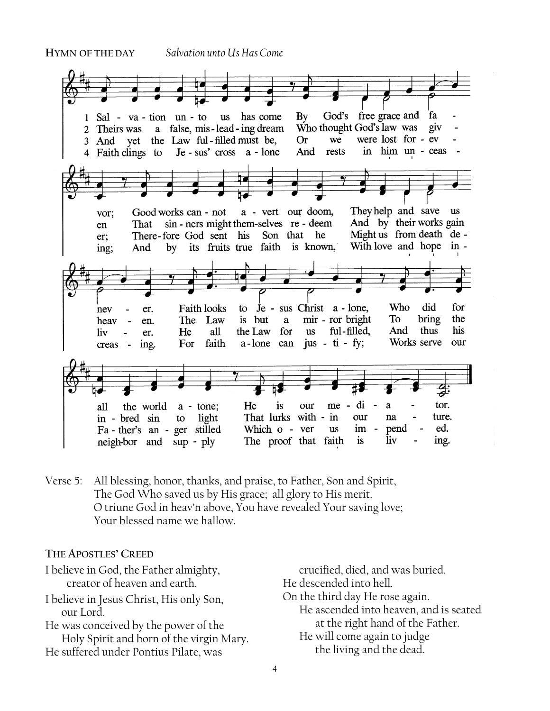#### **HYMN OF THE DAY** *Salvation unto Us Has Come*



Verse 5: All blessing, honor, thanks, and praise, to Father, Son and Spirit, The God Who saved us by His grace; all glory to His merit. O triune God in heav'n above, You have revealed Your saving love; Your blessed name we hallow.

#### **THE APOSTLES' CREED**

| I believe in God, the Father almighty,   | crucified, died, and was buried.       |
|------------------------------------------|----------------------------------------|
| creator of heaven and earth.             | He descended into hell.                |
| I believe in Jesus Christ, His only Son, | On the third day He rose again.        |
| our Lord.                                | He ascended into heaven, and is seated |
| He was conceived by the power of the     | at the right hand of the Father.       |
| Holy Spirit and born of the virgin Mary. | He will come again to judge            |
| He suffered under Pontius Pilate, was    | the living and the dead.               |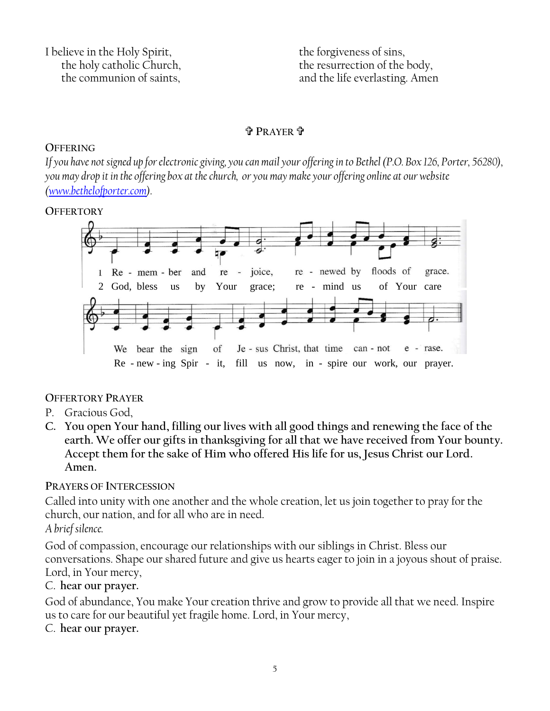I believe in the Holy Spirit, the holy catholic Church, the communion of saints,

the forgiveness of sins, the resurrection of the body, and the life everlasting. Amen

#### **<sup>P</sup>RAYER** .

#### **OFFERING**

*If you have not signed up for electronic giving, you can mail your offering in to Bethel (P.O. Box 126, Porter, 56280), you may drop it in the offering box at the church, or you may make your offering online at our website [\(www.bethelofporter.com\)](http://www.bethelofporter.com/).* 

#### **OFFERTORY**



#### **OFFERTORY PRAYER**

- P. Gracious God,
- **C. You open Your hand, filling our lives with all good things and renewing the face of the earth. We offer our gifts in thanksgiving for all that we have received from Your bounty. Accept them for the sake of Him who offered His life for us, Jesus Christ our Lord. Amen.**

#### **PRAYERS OF INTERCESSION**

Called into unity with one another and the whole creation, let us join together to pray for the church, our nation, and for all who are in need.

#### *A brief silence.*

God of compassion, encourage our relationships with our siblings in Christ. Bless our conversations. Shape our shared future and give us hearts eager to join in a joyous shout of praise. Lord, in Your mercy,

#### C. **hear our prayer.**

God of abundance, You make Your creation thrive and grow to provide all that we need. Inspire us to care for our beautiful yet fragile home. Lord, in Your mercy,

#### C. **hear our prayer.**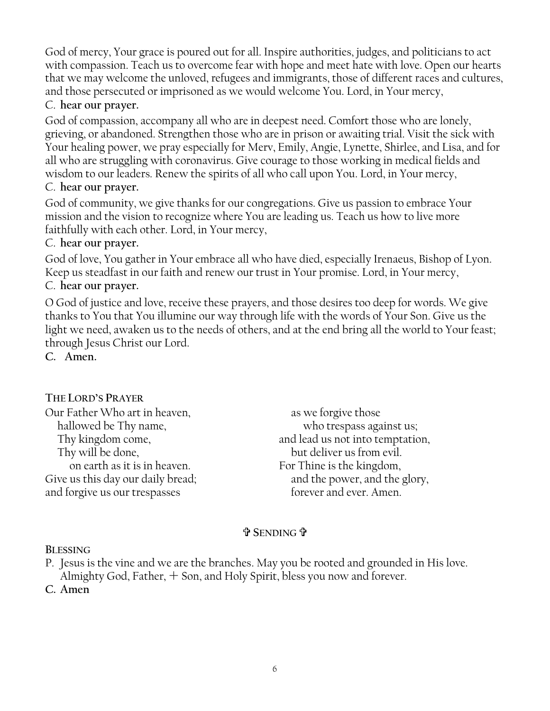God of mercy, Your grace is poured out for all. Inspire authorities, judges, and politicians to act with compassion. Teach us to overcome fear with hope and meet hate with love. Open our hearts that we may welcome the unloved, refugees and immigrants, those of different races and cultures, and those persecuted or imprisoned as we would welcome You. Lord, in Your mercy,

### C. **hear our prayer.**

God of compassion, accompany all who are in deepest need. Comfort those who are lonely, grieving, or abandoned. Strengthen those who are in prison or awaiting trial. Visit the sick with Your healing power, we pray especially for Merv, Emily, Angie, Lynette, Shirlee, and Lisa, and for all who are struggling with coronavirus. Give courage to those working in medical fields and wisdom to our leaders. Renew the spirits of all who call upon You. Lord, in Your mercy,

#### C. **hear our prayer.**

God of community, we give thanks for our congregations. Give us passion to embrace Your mission and the vision to recognize where You are leading us. Teach us how to live more faithfully with each other. Lord, in Your mercy,

#### C. **hear our prayer.**

God of love, You gather in Your embrace all who have died, especially Irenaeus, Bishop of Lyon. Keep us steadfast in our faith and renew our trust in Your promise. Lord, in Your mercy,

#### C. **hear our prayer.**

O God of justice and love, receive these prayers, and those desires too deep for words. We give thanks to You that You illumine our way through life with the words of Your Son. Give us the light we need, awaken us to the needs of others, and at the end bring all the world to Your feast; through Jesus Christ our Lord.

**C. Amen.**

# **THE LORD'S PRAYER**

| Our Father Who art in heaven,     | as we forgive those              |
|-----------------------------------|----------------------------------|
| hallowed be Thy name,             | who trespass against us;         |
| Thy kingdom come,                 | and lead us not into temptation, |
| Thy will be done,                 | but deliver us from evil.        |
| on earth as it is in heaven.      | For Thine is the kingdom,        |
| Give us this day our daily bread; | and the power, and the glory,    |
| and forgive us our trespasses     | forever and ever. Amen.          |
|                                   |                                  |

# **SENDING**

#### **BLESSING**

P. Jesus is the vine and we are the branches. May you be rooted and grounded in His love. Almighty God, Father,  $+$  Son, and Holy Spirit, bless you now and forever.

C. Amen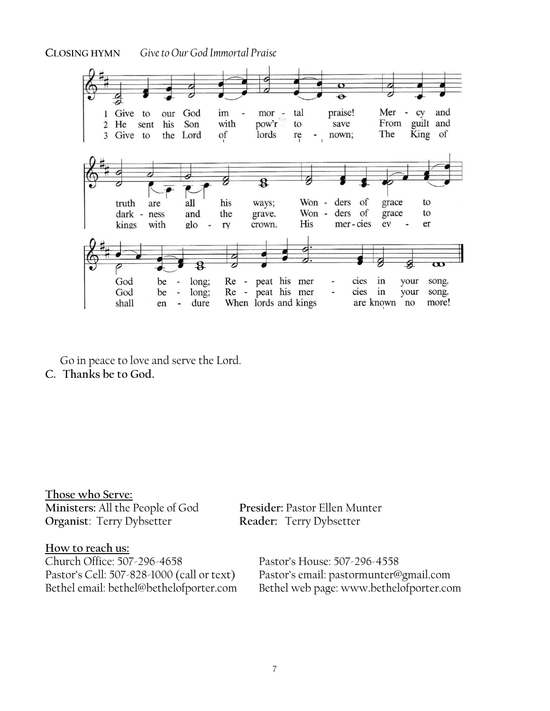**CLOSING HYMN** *Give to Our God Immortal Praise*



Go in peace to love and serve the Lord. **C. Thanks be to God.**

**Those who Serve: Ministers:** All the People of God **Presider:** Pastor Ellen Munter **Organist**: Terry Dybsetter

How to reach us:<br>Church Office: 507-296-4658 Church Office: 507-296-4658<br>Pastor's House: 507-296-4558<br>Pastor's cell: 507-828-1000 (call or text) Pastor's email: pastormunter@

Pastor's email: pastormunter@gmail.com Bethel email: bethel@bethelofporter.com Bethel web page: www.bethelofporter.com